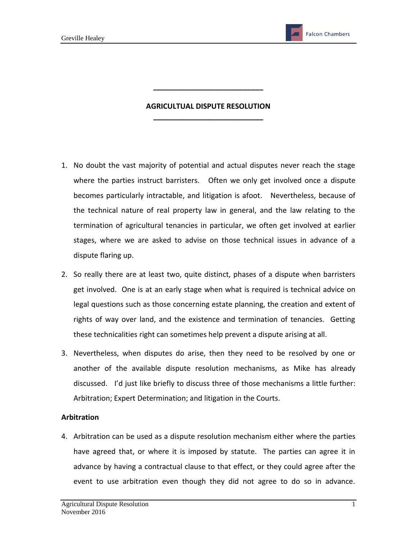**Falcon Chambers** 

## **AGRICULTUAL DISPUTE RESOLUTION \_\_\_\_\_\_\_\_\_\_\_\_\_\_\_\_\_\_\_\_\_\_\_\_\_\_\_**

**\_\_\_\_\_\_\_\_\_\_\_\_\_\_\_\_\_\_\_\_\_\_\_\_\_\_\_**

- 1. No doubt the vast majority of potential and actual disputes never reach the stage where the parties instruct barristers. Often we only get involved once a dispute becomes particularly intractable, and litigation is afoot. Nevertheless, because of the technical nature of real property law in general, and the law relating to the termination of agricultural tenancies in particular, we often get involved at earlier stages, where we are asked to advise on those technical issues in advance of a dispute flaring up.
- 2. So really there are at least two, quite distinct, phases of a dispute when barristers get involved. One is at an early stage when what is required is technical advice on legal questions such as those concerning estate planning, the creation and extent of rights of way over land, and the existence and termination of tenancies. Getting these technicalities right can sometimes help prevent a dispute arising at all.
- 3. Nevertheless, when disputes do arise, then they need to be resolved by one or another of the available dispute resolution mechanisms, as Mike has already discussed. I'd just like briefly to discuss three of those mechanisms a little further: Arbitration; Expert Determination; and litigation in the Courts.

## **Arbitration**

4. Arbitration can be used as a dispute resolution mechanism either where the parties have agreed that, or where it is imposed by statute. The parties can agree it in advance by having a contractual clause to that effect, or they could agree after the event to use arbitration even though they did not agree to do so in advance.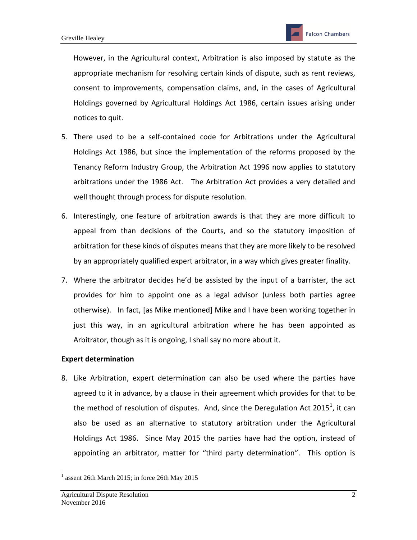However, in the Agricultural context, Arbitration is also imposed by statute as the appropriate mechanism for resolving certain kinds of dispute, such as rent reviews, consent to improvements, compensation claims, and, in the cases of Agricultural Holdings governed by Agricultural Holdings Act 1986, certain issues arising under notices to quit.

- 5. There used to be a self-contained code for Arbitrations under the Agricultural Holdings Act 1986, but since the implementation of the reforms proposed by the Tenancy Reform Industry Group, the Arbitration Act 1996 now applies to statutory arbitrations under the 1986 Act. The Arbitration Act provides a very detailed and well thought through process for dispute resolution.
- 6. Interestingly, one feature of arbitration awards is that they are more difficult to appeal from than decisions of the Courts, and so the statutory imposition of arbitration for these kinds of disputes means that they are more likely to be resolved by an appropriately qualified expert arbitrator, in a way which gives greater finality.
- 7. Where the arbitrator decides he'd be assisted by the input of a barrister, the act provides for him to appoint one as a legal advisor (unless both parties agree otherwise). In fact, [as Mike mentioned] Mike and I have been working together in just this way, in an agricultural arbitration where he has been appointed as Arbitrator, though as it is ongoing, I shall say no more about it.

## **Expert determination**

8. Like Arbitration, expert determination can also be used where the parties have agreed to it in advance, by a clause in their agreement which provides for that to be the method of resolution of disputes. And, since the Deregulation Act 2015<sup>1</sup>, it can also be used as an alternative to statutory arbitration under the Agricultural Holdings Act 1986. Since May 2015 the parties have had the option, instead of appointing an arbitrator, matter for "third party determination". This option is

 $\overline{a}$ 

 $<sup>1</sup>$  assent 26th March 2015; in force 26th May 2015</sup>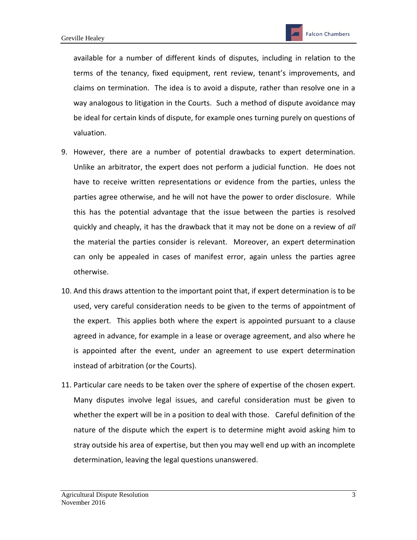available for a number of different kinds of disputes, including in relation to the terms of the tenancy, fixed equipment, rent review, tenant's improvements, and claims on termination. The idea is to avoid a dispute, rather than resolve one in a way analogous to litigation in the Courts. Such a method of dispute avoidance may be ideal for certain kinds of dispute, for example ones turning purely on questions of valuation.

- 9. However, there are a number of potential drawbacks to expert determination. Unlike an arbitrator, the expert does not perform a judicial function. He does not have to receive written representations or evidence from the parties, unless the parties agree otherwise, and he will not have the power to order disclosure. While this has the potential advantage that the issue between the parties is resolved quickly and cheaply, it has the drawback that it may not be done on a review of *all* the material the parties consider is relevant. Moreover, an expert determination can only be appealed in cases of manifest error, again unless the parties agree otherwise.
- 10. And this draws attention to the important point that, if expert determination is to be used, very careful consideration needs to be given to the terms of appointment of the expert. This applies both where the expert is appointed pursuant to a clause agreed in advance, for example in a lease or overage agreement, and also where he is appointed after the event, under an agreement to use expert determination instead of arbitration (or the Courts).
- 11. Particular care needs to be taken over the sphere of expertise of the chosen expert. Many disputes involve legal issues, and careful consideration must be given to whether the expert will be in a position to deal with those. Careful definition of the nature of the dispute which the expert is to determine might avoid asking him to stray outside his area of expertise, but then you may well end up with an incomplete determination, leaving the legal questions unanswered.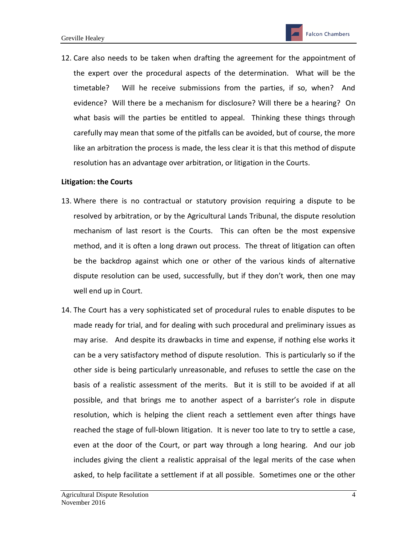12. Care also needs to be taken when drafting the agreement for the appointment of the expert over the procedural aspects of the determination. What will be the timetable? Will he receive submissions from the parties, if so, when? And evidence? Will there be a mechanism for disclosure? Will there be a hearing? On what basis will the parties be entitled to appeal. Thinking these things through carefully may mean that some of the pitfalls can be avoided, but of course, the more like an arbitration the process is made, the less clear it is that this method of dispute resolution has an advantage over arbitration, or litigation in the Courts.

## **Litigation: the Courts**

- 13. Where there is no contractual or statutory provision requiring a dispute to be resolved by arbitration, or by the Agricultural Lands Tribunal, the dispute resolution mechanism of last resort is the Courts. This can often be the most expensive method, and it is often a long drawn out process. The threat of litigation can often be the backdrop against which one or other of the various kinds of alternative dispute resolution can be used, successfully, but if they don't work, then one may well end up in Court.
- 14. The Court has a very sophisticated set of procedural rules to enable disputes to be made ready for trial, and for dealing with such procedural and preliminary issues as may arise. And despite its drawbacks in time and expense, if nothing else works it can be a very satisfactory method of dispute resolution. This is particularly so if the other side is being particularly unreasonable, and refuses to settle the case on the basis of a realistic assessment of the merits. But it is still to be avoided if at all possible, and that brings me to another aspect of a barrister's role in dispute resolution, which is helping the client reach a settlement even after things have reached the stage of full-blown litigation. It is never too late to try to settle a case, even at the door of the Court, or part way through a long hearing. And our job includes giving the client a realistic appraisal of the legal merits of the case when asked, to help facilitate a settlement if at all possible. Sometimes one or the other